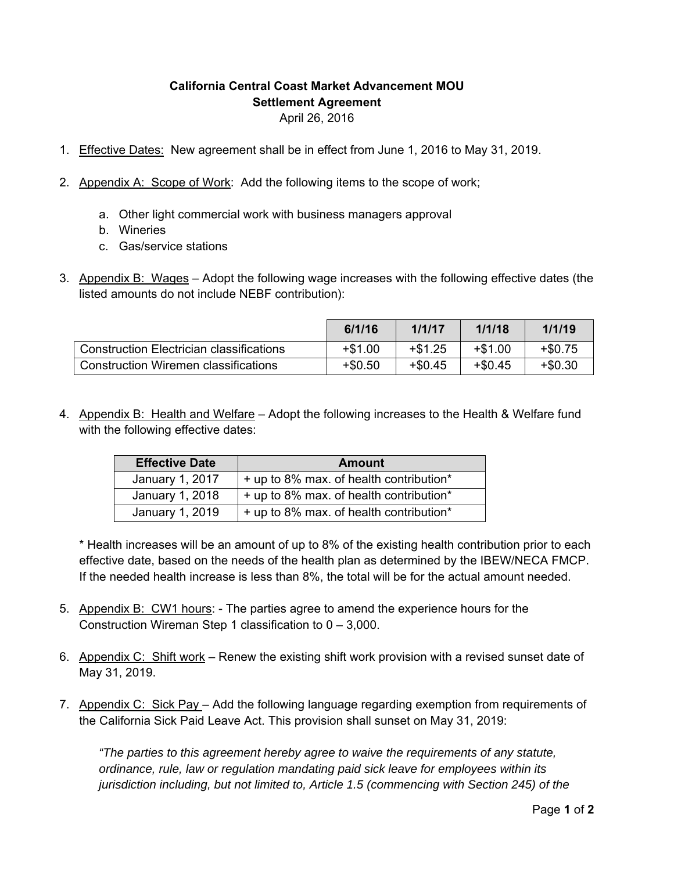## **California Central Coast Market Advancement MOU Settlement Agreement**  April 26, 2016

- 1. Effective Dates: New agreement shall be in effect from June 1, 2016 to May 31, 2019.
- 2. Appendix A: Scope of Work: Add the following items to the scope of work;
	- a. Other light commercial work with business managers approval
	- b. Wineries
	- c. Gas/service stations
- 3. Appendix B: Wages Adopt the following wage increases with the following effective dates (the listed amounts do not include NEBF contribution):

|                                                 | 6/1/16    | 1/1/17    | 1/1/18    | 1/1/19    |
|-------------------------------------------------|-----------|-----------|-----------|-----------|
| <b>Construction Electrician classifications</b> | $+ $1.00$ | $+ $1.25$ | $+ $1.00$ | $+ $0.75$ |
| <b>Construction Wiremen classifications</b>     | $+$0.50$  | $+$0.45$  | $+ $0.45$ | $+$0.30$  |

4. Appendix B: Health and Welfare – Adopt the following increases to the Health & Welfare fund with the following effective dates:

| <b>Effective Date</b> | <b>Amount</b>                           |
|-----------------------|-----------------------------------------|
| January 1, 2017       | + up to 8% max. of health contribution* |
| January 1, 2018       | + up to 8% max. of health contribution* |
| January 1, 2019       | + up to 8% max. of health contribution* |

\* Health increases will be an amount of up to 8% of the existing health contribution prior to each effective date, based on the needs of the health plan as determined by the IBEW/NECA FMCP. If the needed health increase is less than 8%, the total will be for the actual amount needed.

- 5. Appendix B: CW1 hours: The parties agree to amend the experience hours for the Construction Wireman Step 1 classification to  $0 - 3,000$ .
- 6. Appendix C: Shift work Renew the existing shift work provision with a revised sunset date of May 31, 2019.
- 7. Appendix C: Sick Pay Add the following language regarding exemption from requirements of the California Sick Paid Leave Act. This provision shall sunset on May 31, 2019:

*"The parties to this agreement hereby agree to waive the requirements of any statute, ordinance, rule, law or regulation mandating paid sick leave for employees within its jurisdiction including, but not limited to, Article 1.5 (commencing with Section 245) of the*